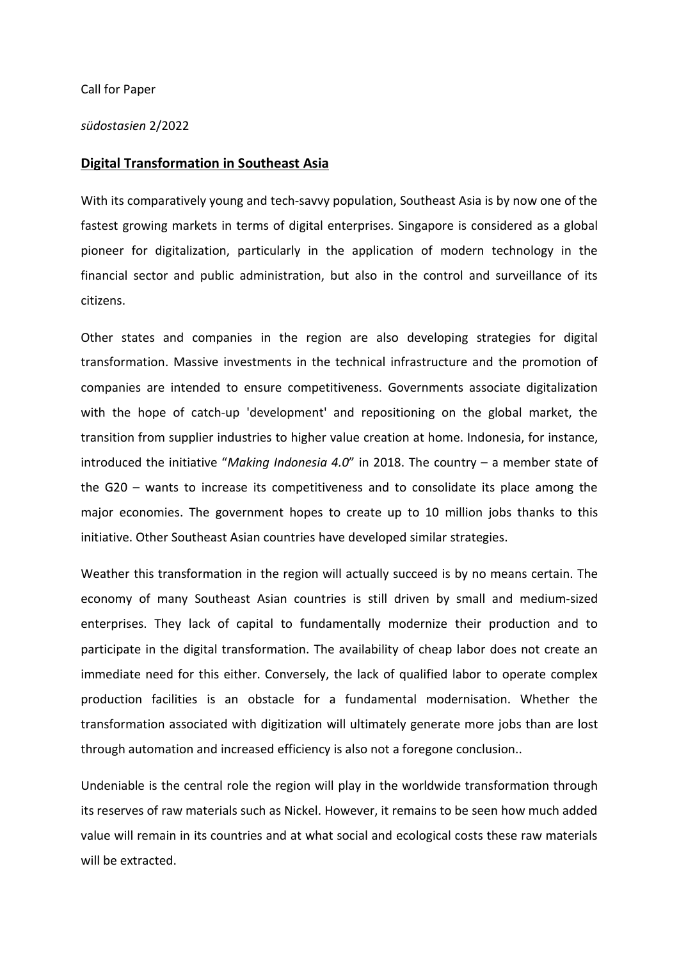#### Call for Paper

### südostasien 2/2022

### Digital Transformation in Southeast Asia

With its comparatively young and tech-savvy population, Southeast Asia is by now one of the fastest growing markets in terms of digital enterprises. Singapore is considered as a global pioneer for digitalization, particularly in the application of modern technology in the financial sector and public administration, but also in the control and surveillance of its citizens.

Other states and companies in the region are also developing strategies for digital transformation. Massive investments in the technical infrastructure and the promotion of companies are intended to ensure competitiveness. Governments associate digitalization with the hope of catch-up 'development' and repositioning on the global market, the transition from supplier industries to higher value creation at home. Indonesia, for instance, introduced the initiative "Making Indonesia 4.0" in 2018. The country  $-$  a member state of the G20 – wants to increase its competitiveness and to consolidate its place among the major economies. The government hopes to create up to 10 million jobs thanks to this initiative. Other Southeast Asian countries have developed similar strategies.

Weather this transformation in the region will actually succeed is by no means certain. The economy of many Southeast Asian countries is still driven by small and medium-sized enterprises. They lack of capital to fundamentally modernize their production and to participate in the digital transformation. The availability of cheap labor does not create an immediate need for this either. Conversely, the lack of qualified labor to operate complex production facilities is an obstacle for a fundamental modernisation. Whether the transformation associated with digitization will ultimately generate more jobs than are lost through automation and increased efficiency is also not a foregone conclusion..

Undeniable is the central role the region will play in the worldwide transformation through its reserves of raw materials such as Nickel. However, it remains to be seen how much added value will remain in its countries and at what social and ecological costs these raw materials will be extracted.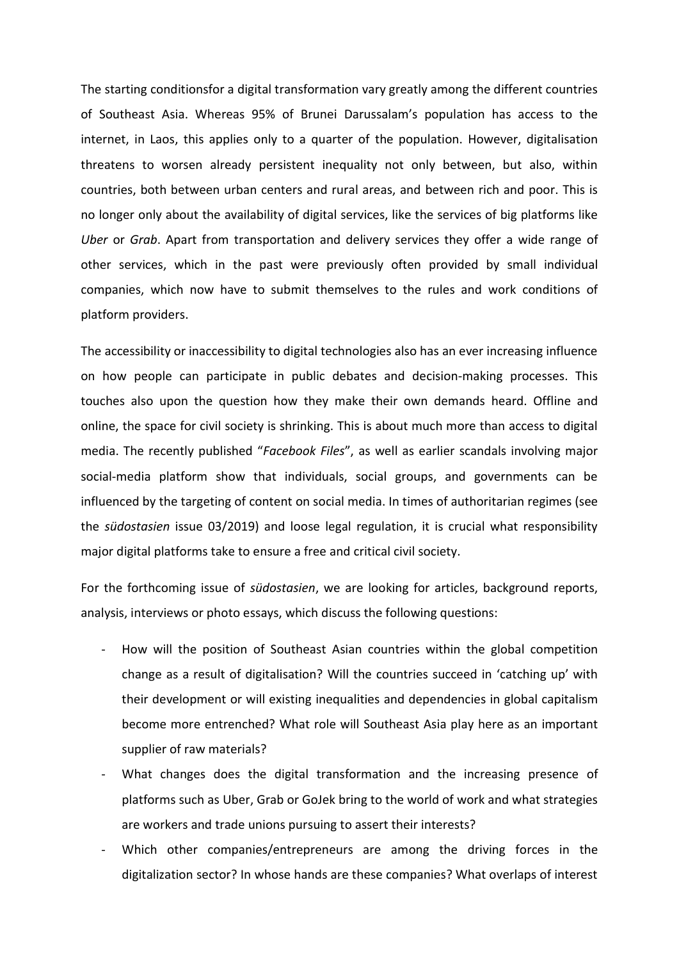The starting conditionsfor a digital transformation vary greatly among the different countries of Southeast Asia. Whereas 95% of Brunei Darussalam's population has access to the internet, in Laos, this applies only to a quarter of the population. However, digitalisation threatens to worsen already persistent inequality not only between, but also, within countries, both between urban centers and rural areas, and between rich and poor. This is no longer only about the availability of digital services, like the services of big platforms like Uber or Grab. Apart from transportation and delivery services they offer a wide range of other services, which in the past were previously often provided by small individual companies, which now have to submit themselves to the rules and work conditions of platform providers.

The accessibility or inaccessibility to digital technologies also has an ever increasing influence on how people can participate in public debates and decision-making processes. This touches also upon the question how they make their own demands heard. Offline and online, the space for civil society is shrinking. This is about much more than access to digital media. The recently published "Facebook Files", as well as earlier scandals involving major social-media platform show that individuals, social groups, and governments can be influenced by the targeting of content on social media. In times of authoritarian regimes (see the südostasien issue 03/2019) and loose legal regulation, it is crucial what responsibility major digital platforms take to ensure a free and critical civil society.

For the forthcoming issue of *südostasien*, we are looking for articles, background reports, analysis, interviews or photo essays, which discuss the following questions:

- How will the position of Southeast Asian countries within the global competition change as a result of digitalisation? Will the countries succeed in 'catching up' with their development or will existing inequalities and dependencies in global capitalism become more entrenched? What role will Southeast Asia play here as an important supplier of raw materials?
- What changes does the digital transformation and the increasing presence of platforms such as Uber, Grab or GoJek bring to the world of work and what strategies are workers and trade unions pursuing to assert their interests?
- Which other companies/entrepreneurs are among the driving forces in the digitalization sector? In whose hands are these companies? What overlaps of interest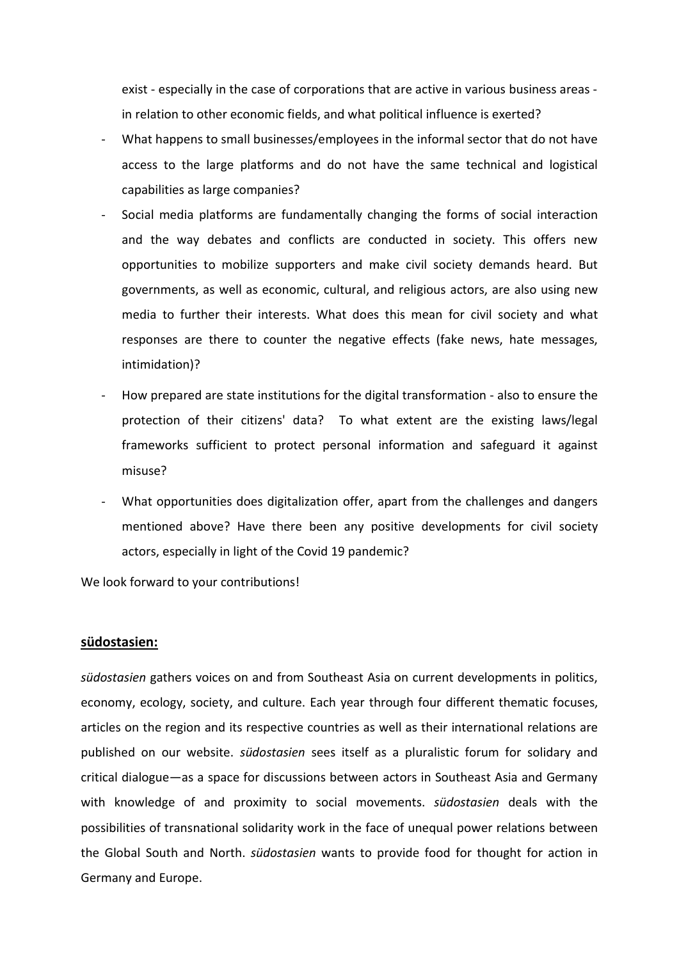exist - especially in the case of corporations that are active in various business areas in relation to other economic fields, and what political influence is exerted?

- What happens to small businesses/employees in the informal sector that do not have access to the large platforms and do not have the same technical and logistical capabilities as large companies?
- Social media platforms are fundamentally changing the forms of social interaction and the way debates and conflicts are conducted in society. This offers new opportunities to mobilize supporters and make civil society demands heard. But governments, as well as economic, cultural, and religious actors, are also using new media to further their interests. What does this mean for civil society and what responses are there to counter the negative effects (fake news, hate messages, intimidation)?
- How prepared are state institutions for the digital transformation also to ensure the protection of their citizens' data? To what extent are the existing laws/legal frameworks sufficient to protect personal information and safeguard it against misuse?
- What opportunities does digitalization offer, apart from the challenges and dangers mentioned above? Have there been any positive developments for civil society actors, especially in light of the Covid 19 pandemic?

We look forward to your contributions!

## südostasien:

südostasien gathers voices on and from Southeast Asia on current developments in politics, economy, ecology, society, and culture. Each year through four different thematic focuses, articles on the region and its respective countries as well as their international relations are published on our website. südostasien sees itself as a pluralistic forum for solidary and critical dialogue—as a space for discussions between actors in Southeast Asia and Germany with knowledge of and proximity to social movements. *südostasien* deals with the possibilities of transnational solidarity work in the face of unequal power relations between the Global South and North. südostasien wants to provide food for thought for action in Germany and Europe.